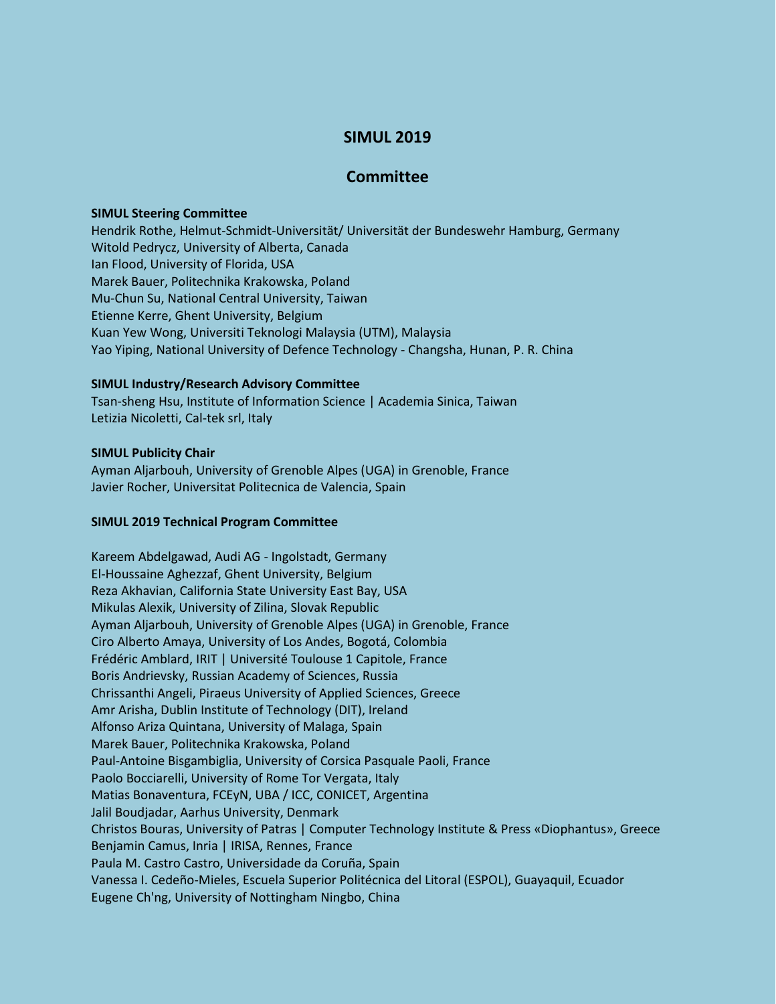# **SIMUL 2019**

## **Committee**

#### **SIMUL Steering Committee**

Hendrik Rothe, Helmut-Schmidt-Universität/ Universität der Bundeswehr Hamburg, Germany Witold Pedrycz, University of Alberta, Canada Ian Flood, University of Florida, USA Marek Bauer, Politechnika Krakowska, Poland Mu-Chun Su, National Central University, Taiwan Etienne Kerre, Ghent University, Belgium Kuan Yew Wong, Universiti Teknologi Malaysia (UTM), Malaysia Yao Yiping, National University of Defence Technology - Changsha, Hunan, P. R. China

#### **SIMUL Industry/Research Advisory Committee**

Tsan-sheng Hsu, Institute of Information Science | Academia Sinica, Taiwan Letizia Nicoletti, Cal-tek srl, Italy

### **SIMUL Publicity Chair**

Ayman Aljarbouh, University of Grenoble Alpes (UGA) in Grenoble, France Javier Rocher, Universitat Politecnica de Valencia, Spain

#### **SIMUL 2019 Technical Program Committee**

Kareem Abdelgawad, Audi AG - Ingolstadt, Germany El-Houssaine Aghezzaf, Ghent University, Belgium Reza Akhavian, California State University East Bay, USA Mikulas Alexik, University of Zilina, Slovak Republic Ayman Aljarbouh, University of Grenoble Alpes (UGA) in Grenoble, France Ciro Alberto Amaya, University of Los Andes, Bogotá, Colombia Frédéric Amblard, IRIT | Université Toulouse 1 Capitole, France Boris Andrievsky, Russian Academy of Sciences, Russia Chrissanthi Angeli, Piraeus University of Applied Sciences, Greece Amr Arisha, Dublin Institute of Technology (DIT), Ireland Alfonso Ariza Quintana, University of Malaga, Spain Marek Bauer, Politechnika Krakowska, Poland Paul-Antoine Bisgambiglia, University of Corsica Pasquale Paoli, France Paolo Bocciarelli, University of Rome Tor Vergata, Italy Matias Bonaventura, FCEyN, UBA / ICC, CONICET, Argentina Jalil Boudjadar, Aarhus University, Denmark Christos Bouras, University of Patras | Computer Technology Institute & Press «Diophantus», Greece Benjamin Camus, Inria | IRISA, Rennes, France Paula M. Castro Castro, Universidade da Coruña, Spain Vanessa I. Cedeño-Mieles, Escuela Superior Politécnica del Litoral (ESPOL), Guayaquil, Ecuador Eugene Ch'ng, University of Nottingham Ningbo, China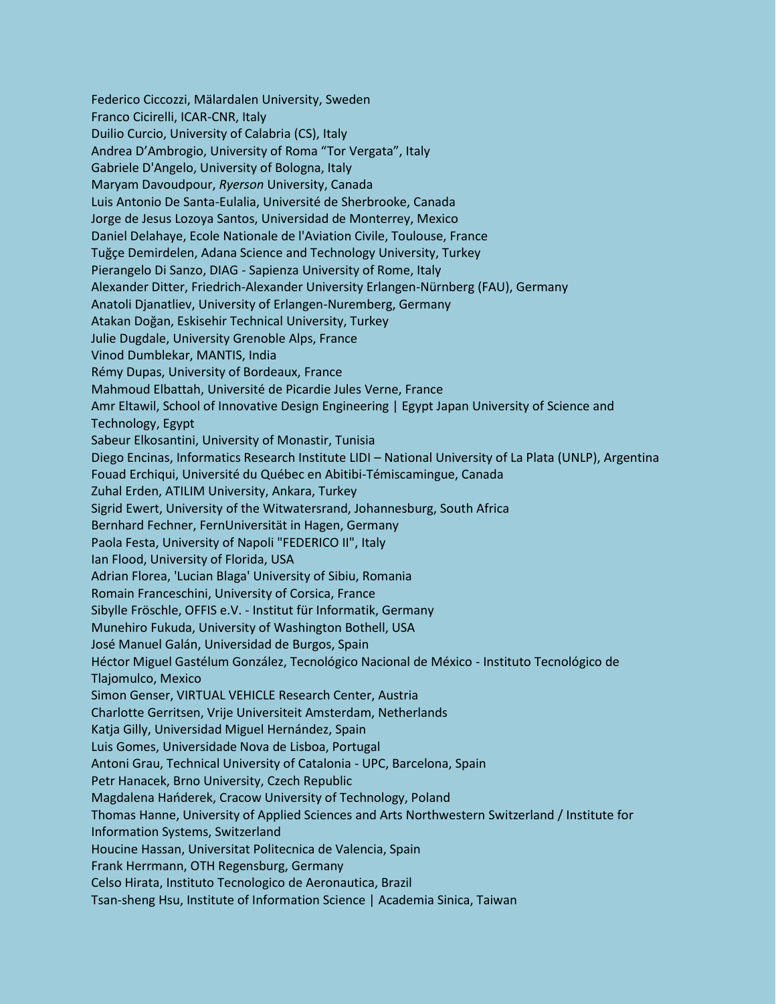Federico Ciccozzi, Mälardalen University, Sweden Franco Cicirelli, ICAR-CNR, Italy Duilio Curcio, University of Calabria (CS), Italy Andrea D'Ambrogio, University of Roma "Tor Vergata", Italy Gabriele D'Angelo, University of Bologna, Italy Maryam Davoudpour, *Ryerson* University, Canada Luis Antonio De Santa-Eulalia, Université de Sherbrooke, Canada Jorge de Jesus Lozoya Santos, Universidad de Monterrey, Mexico Daniel Delahaye, Ecole Nationale de l'Aviation Civile, Toulouse, France Tuğçe Demirdelen, Adana Science and Technology University, Turkey Pierangelo Di Sanzo, DIAG - Sapienza University of Rome, Italy Alexander Ditter, Friedrich-Alexander University Erlangen-Nürnberg (FAU), Germany Anatoli Djanatliev, University of Erlangen-Nuremberg, Germany Atakan Doğan, Eskisehir Technical University, Turkey Julie Dugdale, University Grenoble Alps, France Vinod Dumblekar, MANTIS, India Rémy Dupas, University of Bordeaux, France Mahmoud Elbattah, Université de Picardie Jules Verne, France Amr Eltawil, School of Innovative Design Engineering | Egypt Japan University of Science and Technology, Egypt Sabeur Elkosantini, University of Monastir, Tunisia Diego Encinas, Informatics Research Institute LIDI – National University of La Plata (UNLP), Argentina Fouad Erchiqui, Université du Québec en Abitibi-Témiscamingue, Canada Zuhal Erden, ATILIM University, Ankara, Turkey Sigrid Ewert, University of the Witwatersrand, Johannesburg, South Africa Bernhard Fechner, FernUniversität in Hagen, Germany Paola Festa, University of Napoli "FEDERICO II", Italy Ian Flood, University of Florida, USA Adrian Florea, 'Lucian Blaga' University of Sibiu, Romania Romain Franceschini, University of Corsica, France Sibylle Fröschle, OFFIS e.V. - Institut für Informatik, Germany Munehiro Fukuda, University of Washington Bothell, USA José Manuel Galán, Universidad de Burgos, Spain Héctor Miguel Gastélum González, Tecnológico Nacional de México - Instituto Tecnológico de Tlajomulco, Mexico Simon Genser, VIRTUAL VEHICLE Research Center, Austria Charlotte Gerritsen, Vrije Universiteit Amsterdam, Netherlands Katja Gilly, Universidad Miguel Hernández, Spain Luis Gomes, Universidade Nova de Lisboa, Portugal Antoni Grau, Technical University of Catalonia - UPC, Barcelona, Spain Petr Hanacek, Brno University, Czech Republic Magdalena Hańderek, Cracow University of Technology, Poland Thomas Hanne, University of Applied Sciences and Arts Northwestern Switzerland / Institute for Information Systems, Switzerland Houcine Hassan, Universitat Politecnica de Valencia, Spain Frank Herrmann, OTH Regensburg, Germany Celso Hirata, Instituto Tecnologico de Aeronautica, Brazil Tsan-sheng Hsu, Institute of Information Science | Academia Sinica, Taiwan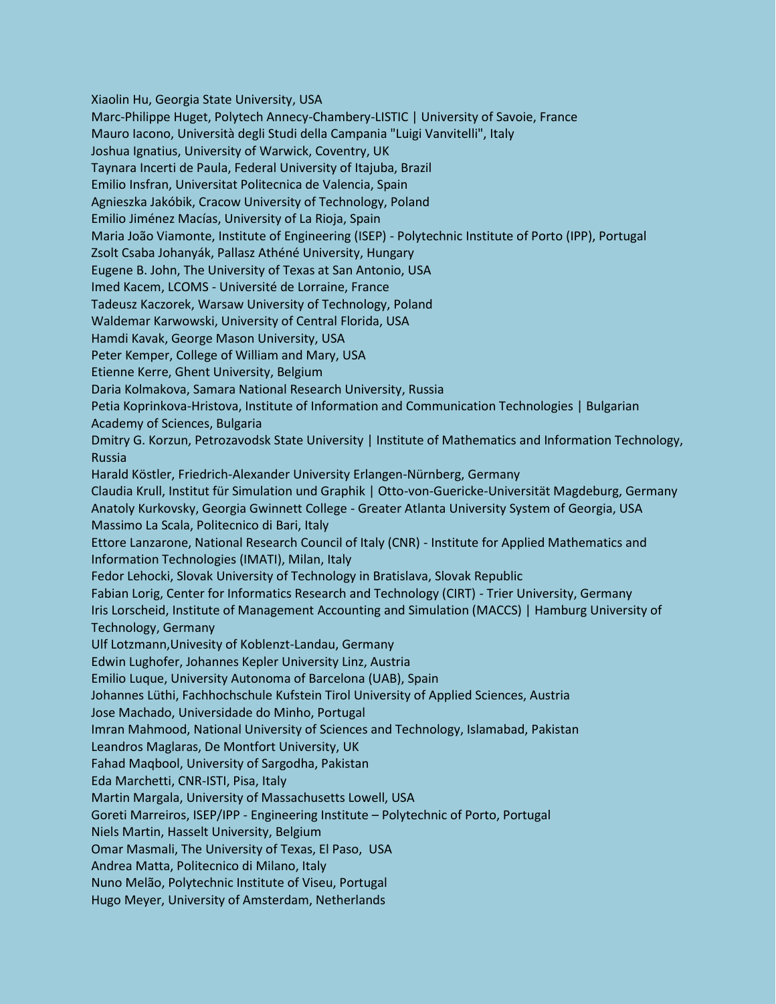Xiaolin Hu, Georgia State University, USA

Marc-Philippe Huget, Polytech Annecy-Chambery-LISTIC | University of Savoie, France

Mauro Iacono, Università degli Studi della Campania "Luigi Vanvitelli", Italy

Joshua Ignatius, University of Warwick, Coventry, UK

Taynara Incerti de Paula, Federal University of Itajuba, Brazil

Emilio Insfran, Universitat Politecnica de Valencia, Spain

Agnieszka Jakóbik, Cracow University of Technology, Poland

Emilio Jiménez Macías, University of La Rioja, Spain

Maria João Viamonte, Institute of Engineering (ISEP) - Polytechnic Institute of Porto (IPP), Portugal

Zsolt Csaba Johanyák, Pallasz Athéné University, Hungary

Eugene B. John, The University of Texas at San Antonio, USA

Imed Kacem, LCOMS - Université de Lorraine, France

Tadeusz Kaczorek, Warsaw University of Technology, Poland

Waldemar Karwowski, University of Central Florida, USA

Hamdi Kavak, George Mason University, USA

Peter Kemper, College of William and Mary, USA

Etienne Kerre, Ghent University, Belgium

Daria Kolmakova, Samara National Research University, Russia

Petia Koprinkova-Hristova, Institute of Information and Communication Technologies | Bulgarian Academy of Sciences, Bulgaria

Dmitry G. Korzun, Petrozavodsk State University | Institute of Mathematics and Information Technology, Russia

Harald Köstler, Friedrich-Alexander University Erlangen-Nürnberg, Germany

Claudia Krull, Institut für Simulation und Graphik | Otto-von-Guericke-Universität Magdeburg, Germany Anatoly Kurkovsky, Georgia Gwinnett College - Greater Atlanta University System of Georgia, USA Massimo La Scala, Politecnico di Bari, Italy

Ettore Lanzarone, National Research Council of Italy (CNR) - Institute for Applied Mathematics and Information Technologies (IMATI), Milan, Italy

Fedor Lehocki, Slovak University of Technology in Bratislava, Slovak Republic

Fabian Lorig, Center for Informatics Research and Technology (CIRT) - Trier University, Germany Iris Lorscheid, Institute of Management Accounting and Simulation (MACCS) | Hamburg University of Technology, Germany

Ulf Lotzmann,Univesity of Koblenzt-Landau, Germany

Edwin Lughofer, Johannes Kepler University Linz, Austria

Emilio Luque, University Autonoma of Barcelona (UAB), Spain

Johannes Lüthi, Fachhochschule Kufstein Tirol University of Applied Sciences, Austria

Jose Machado, Universidade do Minho, Portugal

Imran Mahmood, National University of Sciences and Technology, Islamabad, Pakistan

Leandros Maglaras, De Montfort University, UK

Fahad Maqbool, University of Sargodha, Pakistan

Eda Marchetti, CNR-ISTI, Pisa, Italy

Martin Margala, University of Massachusetts Lowell, USA

Goreti Marreiros, ISEP/IPP - Engineering Institute – Polytechnic of Porto, Portugal

Niels Martin, Hasselt University, Belgium

Omar Masmali, The University of Texas, El Paso, USA

Andrea Matta, Politecnico di Milano, Italy

Nuno Melão, Polytechnic Institute of Viseu, Portugal

Hugo Meyer, University of Amsterdam, Netherlands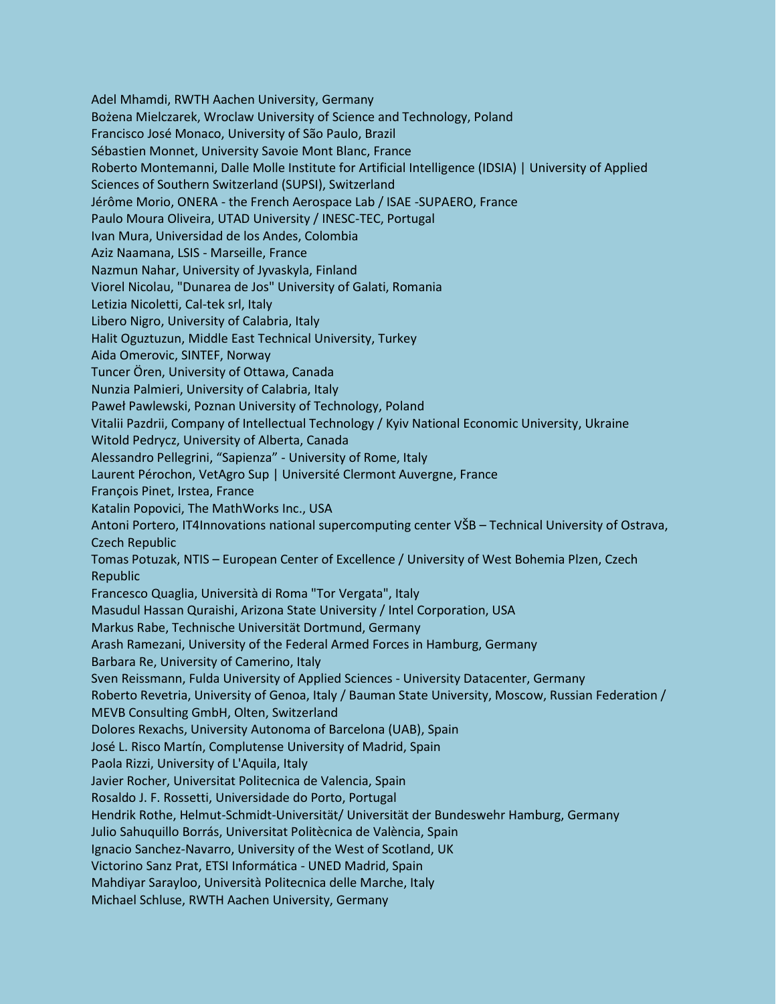Adel Mhamdi, RWTH Aachen University, Germany Bożena Mielczarek, Wroclaw University of Science and Technology, Poland Francisco José Monaco, University of São Paulo, Brazil Sébastien Monnet, University Savoie Mont Blanc, France Roberto Montemanni, Dalle Molle Institute for Artificial Intelligence (IDSIA) | University of Applied Sciences of Southern Switzerland (SUPSI), Switzerland Jérôme Morio, ONERA - the French Aerospace Lab / ISAE -SUPAERO, France Paulo Moura Oliveira, UTAD University / INESC-TEC, Portugal Ivan Mura, Universidad de los Andes, Colombia Aziz Naamana, LSIS - Marseille, France Nazmun Nahar, University of Jyvaskyla, Finland Viorel Nicolau, "Dunarea de Jos" University of Galati, Romania Letizia Nicoletti, Cal-tek srl, Italy Libero Nigro, University of Calabria, Italy Halit Oguztuzun, Middle East Technical University, Turkey Aida Omerovic, SINTEF, Norway Tuncer Ören, University of Ottawa, Canada Nunzia Palmieri, University of Calabria, Italy Paweł Pawlewski, Poznan University of Technology, Poland Vitalii Pazdrii, Company of Intellectual Technology / Kyiv National Economic University, Ukraine Witold Pedrycz, University of Alberta, Canada Alessandro Pellegrini, "Sapienza" - University of Rome, Italy Laurent Pérochon, VetAgro Sup | Université Clermont Auvergne, France François Pinet, Irstea, France Katalin Popovici, The MathWorks Inc., USA Antoni Portero, IT4Innovations national supercomputing center VŠB – Technical University of Ostrava, **Czech Republic** Tomas Potuzak, NTIS - European Center of Excellence / University of West Bohemia Plzen, Czech Republic Francesco Quaglia, Università di Roma "Tor Vergata", Italy Masudul Hassan Quraishi, Arizona State University / Intel Corporation, USA Markus Rabe, Technische Universität Dortmund, Germany Arash Ramezani, University of the Federal Armed Forces in Hamburg, Germany Barbara Re, University of Camerino, Italy Sven Reissmann, Fulda University of Applied Sciences - University Datacenter, Germany Roberto Revetria, University of Genoa, Italy / Bauman State University, Moscow, Russian Federation / MEVB Consulting GmbH, Olten, Switzerland Dolores Rexachs, University Autonoma of Barcelona (UAB), Spain José L. Risco Martín, Complutense University of Madrid, Spain Paola Rizzi, University of L'Aquila, Italy Javier Rocher, Universitat Politecnica de Valencia, Spain Rosaldo J. F. Rossetti, Universidade do Porto, Portugal Hendrik Rothe, Helmut-Schmidt-Universität/ Universität der Bundeswehr Hamburg, Germany Julio Sahuquillo Borrás, Universitat Politècnica de València, Spain Ignacio Sanchez-Navarro, University of the West of Scotland, UK Victorino Sanz Prat, ETSI Informática - UNED Madrid, Spain Mahdiyar Sarayloo, Università Politecnica delle Marche, Italy Michael Schluse, RWTH Aachen University, Germany